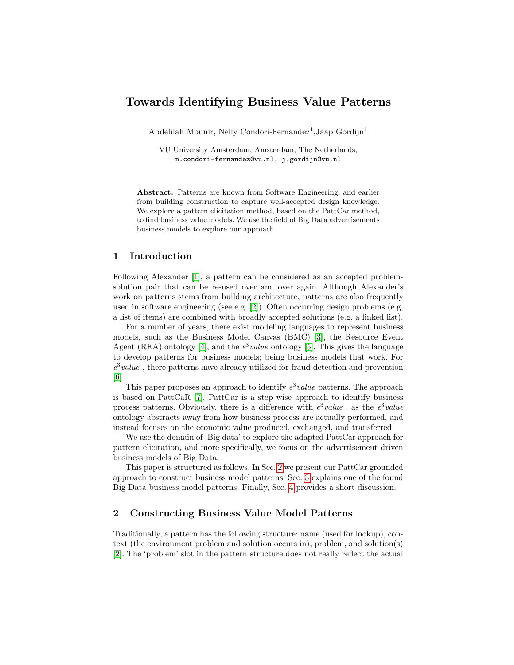# Towards Identifying Business Value Patterns

Abdelilah Mounir, Nelly Condori-Fernandez<sup>1</sup>, Jaap Gordijn<sup>1</sup>

VU University Amsterdam, Amsterdam, The Netherlands, n.condori-fernandez@vu.nl, j.gordijn@vu.nl

Abstract. Patterns are known from Software Engineering, and earlier from building construction to capture well-accepted design knowledge. We explore a pattern elicitation method, based on the PattCar method, to find business value models. We use the field of Big Data advertisements business models to explore our approach.

## 1 Introduction

Following Alexander [\[1\]](#page-4-0), a pattern can be considered as an accepted problemsolution pair that can be re-used over and over again. Although Alexander's work on patterns stems from building architecture, patterns are also frequently used in software engineering (see e.g. [\[2\]](#page-4-1)). Often occurring design problems (e.g. a list of items) are combined with broadly accepted solutions (e.g. a linked list).

For a number of years, there exist modeling languages to represent business models, such as the Business Model Canvas (BMC) [\[3\]](#page-4-2), the Resource Event Agent (REA) ontology [\[4\]](#page-4-3), and the  $e^3$  value ontology [\[5\]](#page-4-4). This gives the language to develop patterns for business models; being business models that work. For  $e^3$  value, there patterns have already utilized for fraud detection and prevention [\[6\]](#page-4-5).

This paper proposes an approach to identify  $e^3$  value patterns. The approach is based on PattCaR [\[7\]](#page-4-6). PattCar is a step wise approach to identify business process patterns. Obviously, there is a difference with  $e^3$  value, as the  $e^3$  value ontology abstracts away from how business process are actually performed, and instead focuses on the economic value produced, exchanged, and transferred.

We use the domain of 'Big data' to explore the adapted PattCar approach for pattern elicitation, and more specifically, we focus on the advertisement driven business models of Big Data.

This paper is structured as follows. In Sec. [2](#page-0-0) we present our PattCar grounded approach to construct business model patterns. Sec. [3](#page-2-0) explains one of the found Big Data business model patterns. Finally, Sec. [4](#page-4-7) provides a short discussion.

## <span id="page-0-0"></span>2 Constructing Business Value Model Patterns

Traditionally, a pattern has the following structure: name (used for lookup), context (the environment problem and solution occurs in), problem, and solution(s) [\[2\]](#page-4-1). The 'problem' slot in the pattern structure does not really reflect the actual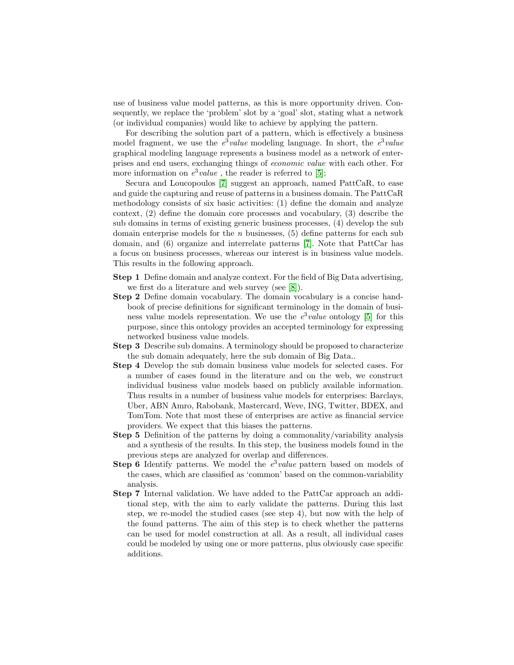use of business value model patterns, as this is more opportunity driven. Consequently, we replace the 'problem' slot by a 'goal' slot, stating what a network (or individual companies) would like to achieve by applying the pattern.

For describing the solution part of a pattern, which is effectively a business model fragment, we use the  $e^3$  value modeling language. In short, the  $e^3$  value graphical modeling language represents a business model as a network of enterprises and end users, exchanging things of economic value with each other. For more information on  $e^3$  *value*, the reader is referred to [\[5\]](#page-4-4);

Secura and Loucopoulos [\[7\]](#page-4-6) suggest an approach, named PattCaR, to ease and guide the capturing and reuse of patterns in a business domain. The PattCaR methodology consists of six basic activities: (1) define the domain and analyze context, (2) define the domain core processes and vocabulary, (3) describe the sub domains in terms of existing generic business processes, (4) develop the sub domain enterprise models for the  $n$  businesses,  $(5)$  define patterns for each sub domain, and (6) organize and interrelate patterns [\[7\]](#page-4-6). Note that PattCar has a focus on business processes, whereas our interest is in business value models. This results in the following approach.

- Step 1 Define domain and analyze context. For the field of Big Data advertising, we first do a literature and web survey (see [\[8\]](#page-4-8)).
- Step 2 Define domain vocabulary. The domain vocabulary is a concise handbook of precise definitions for significant terminology in the domain of business value models representation. We use the  $e^3$  *value* ontology [\[5\]](#page-4-4) for this purpose, since this ontology provides an accepted terminology for expressing networked business value models.
- Step 3 Describe sub domains. A terminology should be proposed to characterize the sub domain adequately, here the sub domain of Big Data..
- Step 4 Develop the sub domain business value models for selected cases. For a number of cases found in the literature and on the web, we construct individual business value models based on publicly available information. Thus results in a number of business value models for enterprises: Barclays, Uber, ABN Amro, Rabobank, Mastercard, Weve, ING, Twitter, BDEX, and TomTom. Note that most these of enterprises are active as financial service providers. We expect that this biases the patterns.
- Step 5 Definition of the patterns by doing a commonality/variability analysis and a synthesis of the results. In this step, the business models found in the previous steps are analyzed for overlap and differences.
- **Step 6** Identify patterns. We model the  $e^3$  value pattern based on models of the cases, which are classified as 'common' based on the common-variability analysis.
- Step 7 Internal validation. We have added to the PattCar approach an additional step, with the aim to early validate the patterns. During this last step, we re-model the studied cases (see step 4), but now with the help of the found patterns. The aim of this step is to check whether the patterns can be used for model construction at all. As a result, all individual cases could be modeled by using one or more patterns, plus obviously case specific additions.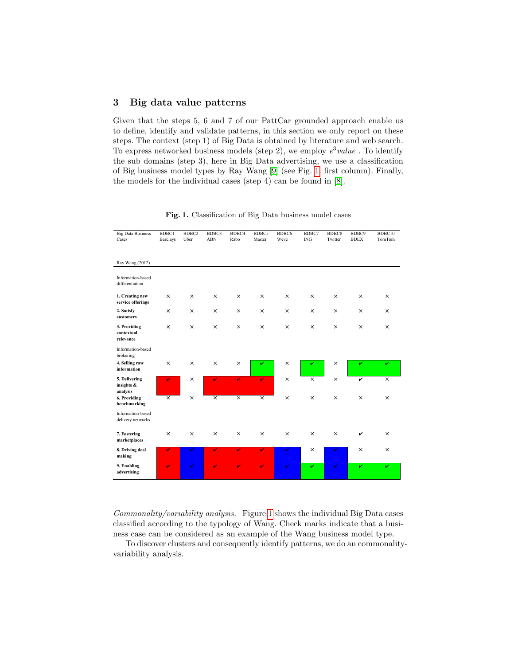## <span id="page-2-0"></span>3 Big data value patterns

Given that the steps 5, 6 and 7 of our PattCar grounded approach enable us to define, identify and validate patterns, in this section we only report on these steps. The context (step 1) of Big Data is obtained by literature and web search. To express networked business models (step 2), we employ  $e^3 value$ . To identify the sub domains (step 3), here in Big Data advertising, we use a classification of Big business model types by Ray Wang [\[9\]](#page-4-9) (see Fig. [1.](#page-2-1) first column). Finally, the models for the individual cases (step 4) can be found in [\[8\]](#page-4-8).

| <b>Big Data Business</b><br>Cases       | BDBC1<br>Barclays | BDBC <sub>2</sub><br>Uber | BDBC3<br>${\bf ABN}$ | BDBC4<br>Rabo | BDBC5<br>Master | BDBC6<br>Weve | BDBC7<br>$\rm{ING}$     | BDBC8<br>Twitter | BDBC9<br><b>BDEX</b> | BDBC10<br>TomTom        |
|-----------------------------------------|-------------------|---------------------------|----------------------|---------------|-----------------|---------------|-------------------------|------------------|----------------------|-------------------------|
|                                         |                   |                           |                      |               |                 |               |                         |                  |                      |                         |
| Ray Wang (2012)                         |                   |                           |                      |               |                 |               |                         |                  |                      |                         |
| Information-based<br>differentiation    |                   |                           |                      |               |                 |               |                         |                  |                      |                         |
| 1. Creating new<br>service offerings    | $\times$          | X                         | $\times$             | $\times$      | $\times$        | $\times$      | $\times$                | $\times$         | $\times$             | $\times$                |
| 2. Satisfy<br>customers                 | $\times$          | $\times$                  | $\times$             | $\times$      | $\times$        | $\times$      | $\times$                | $\times$         | $\times$             | $\times$                |
| 3. Providing<br>contextual<br>relevance | $\times$          | $\times$                  | $\times$             | $\times$      | $\times$        | $\times$      | $\times$                | $\times$         | $\times$             | $\times$                |
| Information-based<br>brokering          |                   |                           |                      |               |                 |               |                         |                  |                      |                         |
| 4. Selling raw<br>information           | $\times$          | $\times$                  | $\times$             | $\times$      | v               | $\times$      | v                       | $\times$         | v                    | v                       |
| 5. Delivering<br>insights &<br>analysis | v                 | $\times$                  | V                    | $\mathbf{v}$  | v.              | $\times$      | $\overline{\mathsf{x}}$ | $\times$         | v                    | $\overline{\mathsf{x}}$ |
| 6. Providing<br>benchmarking            | $\times$          | $\times$                  | $\times$             | $\times$      | $\times$        | $\times$      | $\times$                | $\times$         | $\times$             | $\times$                |
| Information-based<br>delivery networks  |                   |                           |                      |               |                 |               |                         |                  |                      |                         |
| 7. Fostering<br>marketplaces            | $\times$          | $\times$                  | $\times$             | $\times$      | $\times$        | $\times$      | $\times$                | $\times$         | v                    | $\times$                |
| 8. Driving deal<br>making               | V                 | V                         | V                    | $\mathbf{v}$  | v.              | V             | $\times$                | V                | $\times$             | $\times$                |
| 9. Enabling<br>advertising              | $\mathbf{v}$      | v                         | V                    | V             | V               | v             | v                       | V                | v                    | v                       |

<span id="page-2-1"></span>Fig. 1. Classification of Big Data business model cases

Commonality/variability analysis. Figure [1](#page-2-1) shows the individual Big Data cases classified according to the typology of Wang. Check marks indicate that a business case can be considered as an example of the Wang business model type.

To discover clusters and consequently identify patterns, we do an commonalityvariability analysis.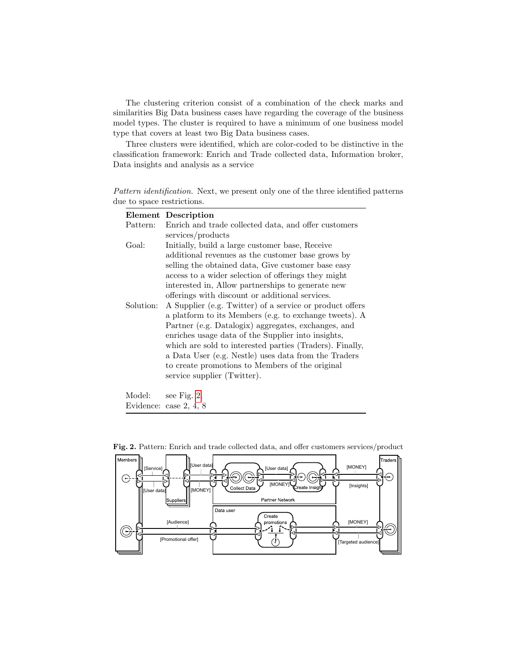The clustering criterion consist of a combination of the check marks and similarities Big Data business cases have regarding the coverage of the business model types. The cluster is required to have a minimum of one business model type that covers at least two Big Data business cases.

Three clusters were identified, which are color-coded to be distinctive in the classification framework: Enrich and Trade collected data, Information broker, Data insights and analysis as a service

Pattern identification. Next, we present only one of the three identified patterns due to space restrictions.

|           | Element Description                                      |  |  |  |  |  |
|-----------|----------------------------------------------------------|--|--|--|--|--|
| Pattern:  | Enrich and trade collected data, and offer customers     |  |  |  |  |  |
|           | services/products                                        |  |  |  |  |  |
| Goal:     | Initially, build a large customer base, Receive          |  |  |  |  |  |
|           | additional revenues as the customer base grows by        |  |  |  |  |  |
|           | selling the obtained data, Give customer base easy       |  |  |  |  |  |
|           | access to a wider selection of offerings they might      |  |  |  |  |  |
|           | interested in, Allow partnerships to generate new        |  |  |  |  |  |
|           | offerings with discount or additional services.          |  |  |  |  |  |
| Solution: | A Supplier (e.g. Twitter) of a service or product offers |  |  |  |  |  |
|           | a platform to its Members (e.g. to exchange tweets). A   |  |  |  |  |  |
|           | Partner (e.g. Datalogix) aggregates, exchanges, and      |  |  |  |  |  |
|           | enriches usage data of the Supplier into insights,       |  |  |  |  |  |
|           | which are sold to interested parties (Traders). Finally, |  |  |  |  |  |
|           | a Data User (e.g. Nestle) uses data from the Traders     |  |  |  |  |  |
|           | to create promotions to Members of the original          |  |  |  |  |  |
|           | service supplier (Twitter).                              |  |  |  |  |  |
|           |                                                          |  |  |  |  |  |

Model: see Fig. [2.](#page-3-0) Evidence: case 2, 4, 8



<span id="page-3-0"></span>Fig. 2. Pattern: Enrich and trade collected data, and offer customers services/product